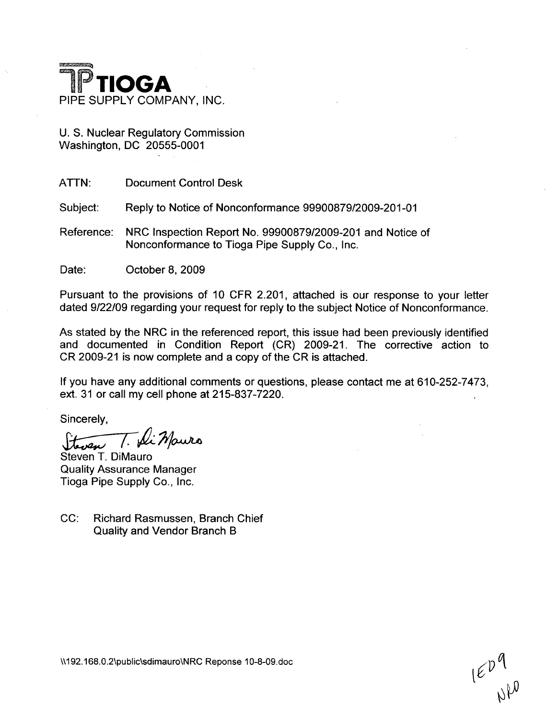

U. S. Nuclear Regulatory Commission Washington, DC 20555-0001

ATTN: Document Control Desk

Subject: Reply to Notice of Nonconformance 99900879/2009-201-01

Reference: NRC Inspection Report No. 99900879/2009-201 and Notice of Nonconformance to Tioga Pipe Supply Co., Inc.

Date: **October 8, 2009** 

Pursuant to the provisions of 10 CFR 2.201, attached is our response to your letter dated 9/22/09 regarding your request for reply to the subject Notice of Nonconformance.

As stated by the NRC in the referenced report, this issue had been previously identified and documented in Condition Report (CR) 2009-21. The corrective action to CR 2009-21 is now complete and a copy of the CR is attached.

If you have any additional comments or questions, please contact me at 610-252-7473, ext. 31 or call my cell phone at 215-837-7220.

Sincerely,

: Mauro

Steven T. DiMauro Quality Assurance Manager Tioga Pipe Supply Co., Inc.

CC: Richard Rasmussen, Branch Chief Quality and Vendor Branch B

 $I\in \mathcal{P}^{\mathcal{P}}_{\omega\beta}$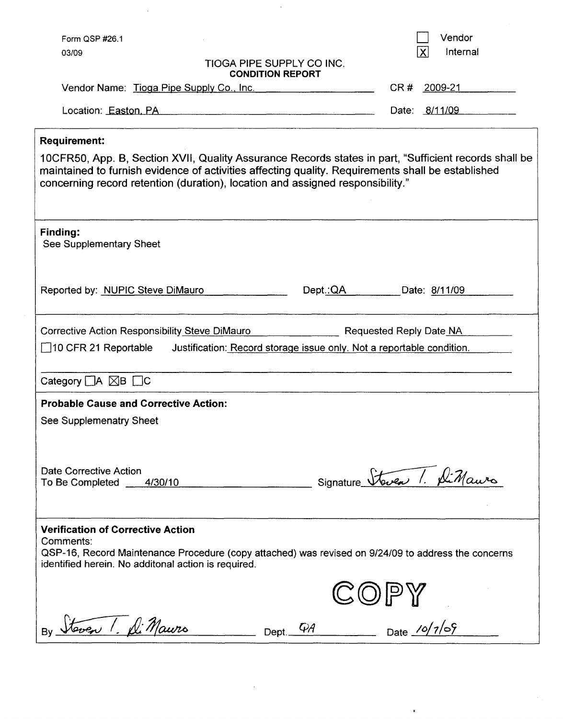| Form QSP #26.1                                                                                                                                                                                                                                                                                                      | Vendor                                                                                              |  |  |
|---------------------------------------------------------------------------------------------------------------------------------------------------------------------------------------------------------------------------------------------------------------------------------------------------------------------|-----------------------------------------------------------------------------------------------------|--|--|
| 03/09                                                                                                                                                                                                                                                                                                               | $\overline{\mathsf{X}}$<br>Internal<br><b>TIOGA PIPE SUPPLY CO INC.</b><br><b>CONDITION REPORT</b>  |  |  |
| Vendor Name: Tioga Pipe Supply Co., Inc.                                                                                                                                                                                                                                                                            | CR#<br>2009-21                                                                                      |  |  |
| Location: Easton, PA                                                                                                                                                                                                                                                                                                | Date: 8/11/09<br><u> 1980 - Andrea Andrew Maria (h. 1980).</u>                                      |  |  |
| <b>Requirement:</b><br>10CFR50, App. B, Section XVII, Quality Assurance Records states in part, "Sufficient records shall be<br>maintained to furnish evidence of activities affecting quality. Requirements shall be established<br>concerning record retention (duration), location and assigned responsibility." |                                                                                                     |  |  |
| <b>Finding:</b><br>See Supplementary Sheet                                                                                                                                                                                                                                                                          |                                                                                                     |  |  |
| Reported by: NUPIC Steve DiMauro                                                                                                                                                                                                                                                                                    | Dept.:QA<br>Date: 8/11/09                                                                           |  |  |
| Corrective Action Responsibility Steve DiMauro<br>Requested Reply Date NA<br>$\Box$ 10 CFR 21 Reportable<br>Justification: Record storage issue only. Not a reportable condition.                                                                                                                                   |                                                                                                     |  |  |
| Category $\Box A \boxtimes B \Box C$                                                                                                                                                                                                                                                                                |                                                                                                     |  |  |
| <b>Probable Cause and Corrective Action:</b><br>See Supplemenatry Sheet<br>Date Corrective Action<br>To Be Completed 4/30/10                                                                                                                                                                                        | Signature Staven 1. Sti Mauro                                                                       |  |  |
|                                                                                                                                                                                                                                                                                                                     |                                                                                                     |  |  |
| <b>Verification of Corrective Action</b><br>Comments:<br>identified herein. No additonal action is required.                                                                                                                                                                                                        | QSP-16, Record Maintenance Procedure (copy attached) was revised on 9/24/09 to address the concerns |  |  |
|                                                                                                                                                                                                                                                                                                                     | IPY                                                                                                 |  |  |
| By Steven 1. D. Mauro                                                                                                                                                                                                                                                                                               | $\frac{1}{\sqrt{2}}$ Date $\frac{\sqrt{2}}{2}$<br>Dept. $\overline{\mathcal{A}}$                    |  |  |

÷.

 $\hat{\mathbf{u}}$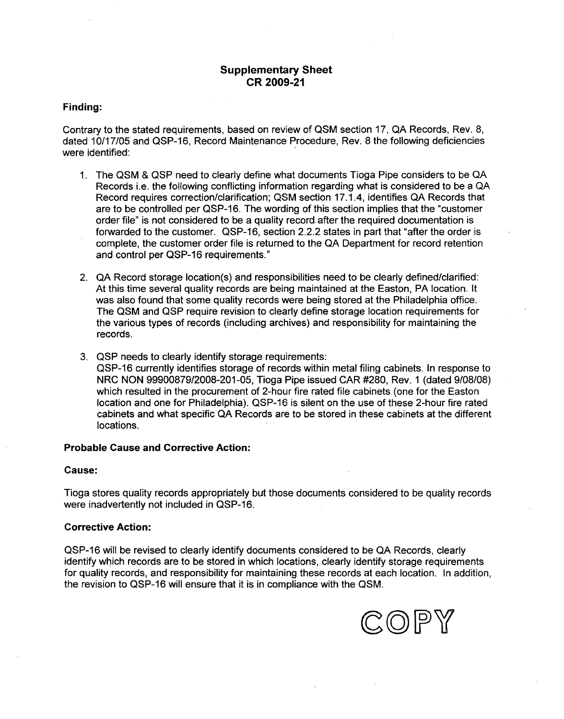## Supplementary Sheet CR **2009-21**

#### Finding:

Contrary to the stated requirements, based on review of QSM section 17, QA Records, Rev. 8, dated 10/17/05 and QSP-16, Record Maintenance Procedure, Rev. 8 the following deficiencies were identified:

- 1. The QSM & QSP need to clearly define what documents Tioga Pipe considers to be QA Records i.e. the following conflicting information regarding what is considered to be a QA Record requires correction/clarification; QSM section 17.1.4, identifies QA Records that are to be controlled per QSP-16. The wording of this section implies that the "customer order file" is not considered to be a quality record after the required documentation is forwarded to the customer. QSP-16, section 2.2.2 states in part that "after the order is complete, the customer order file is returned to the QA Department for record retention and control per QSP-16 requirements."
- 2. QA Record storage location(s) and responsibilities need to be clearly defined/clarified: At this time several quality records are being maintained at the Easton, PA location. It was also found that some quality records were being stored at the Philadelphia office. The QSM and QSP require revision to clearly define storage location requirements for the various types of records (including archives) and responsibility for maintaining the records.
- 3. QSP needs to clearly identify storage requirements: QSP-16 currently identifies storage of records within metal filing cabinets. In response to NRC NON 99900879/2008-201-05, Tioga Pipe issued CAR #280, Rev. 1 (dated 9/08/08) which resulted in the procurement of 2-hour fire rated file cabinets (one for the Easton location and one for Philadelphia). QSP-16 is silent on the use of these 2-hour fire rated cabinets and what specific QA Records are to be stored in these cabinets at the different locations.

#### Probable Cause and Corrective Action:

#### Cause:

Tioga stores quality records appropriately but those documents considered to be quality records were inadvertently not included in QSP-16.

#### Corrective Action:

QSP-16 will be revised to clearly identify documents considered to be QA Records, clearly identify which records are to be stored in which locations, clearly identify storage requirements for quality records, and responsibility for maintaining these records at each location. In addition, the revision to QSP-16 will ensure that it is in compliance with the QSM.

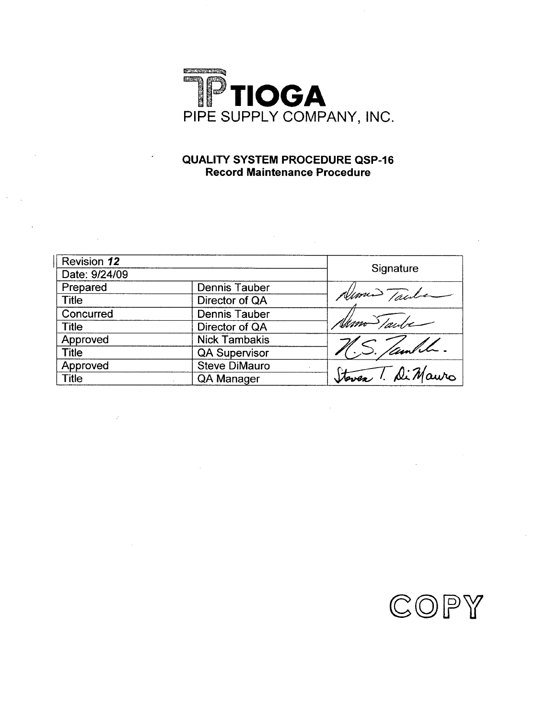

# **QUALITY** SYSTEM PROCEDURE **QSP-16** Record Maintenance Procedure

| <b>Revision 12</b><br>Date: 9/24/09 |                      |                    |
|-------------------------------------|----------------------|--------------------|
|                                     |                      | Signature          |
| Prepared                            | <b>Dennis Tauber</b> | Nome Trule         |
| <b>Title</b>                        | Director of QA       |                    |
| Concurred                           | <b>Dennis Tauber</b> |                    |
| <b>Title</b>                        | Director of QA       | Nam Saube          |
| Approved                            | <b>Nick Tambakis</b> |                    |
| <b>Title</b>                        | <b>QA Supervisor</b> | S. Jambh.          |
| Approved                            | <b>Steve DiMauro</b> |                    |
| <b>Title</b>                        | QA Manager           | Steven T. Di Mauro |

 $\sim 20$ 

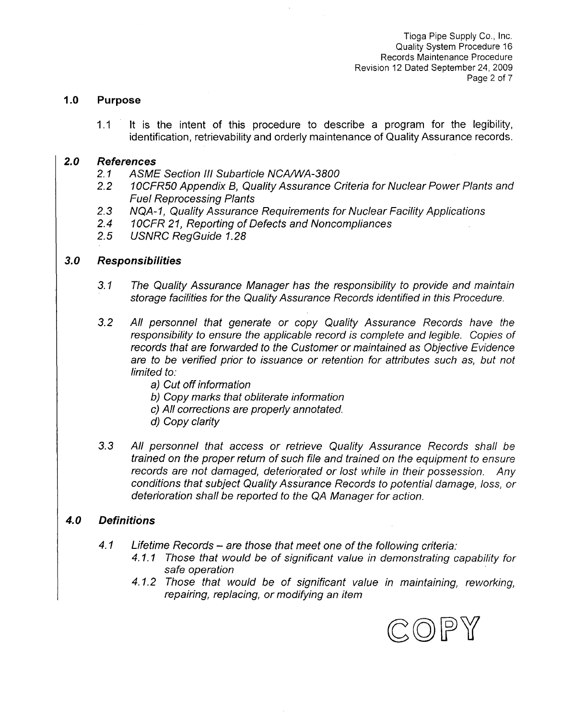Tioga Pipe Supply Co., Inc. Quality System Procedure 16 Records Maintenance Procedure Revision 12 Dated September 24, 2009 Page 2 of 7

#### **1.0** Purpose

1.1 It is the intent of this procedure to describe a program for the legibility, identification, retrievability and orderly maintenance of Quality Assurance records.

### *2.0 References*

- *2.1 ASME Section III Subarticle NCA/WA-3800*
- *2.2* **1** *OCFR5O Appendix B, Quality Assurance Criteria for Nuclear Power Plants and Fuel Reprocessing Plants*
- *2.3 NQA- 1, Quality Assurance Requirements for Nuclear Facility Applications 2.4* 1OCFR *21, Reporting of Defects and Noncompliances*
- 
- *2.5 USNRC RegGuide 1.28*

### *3.0 Responsibilities*

- *3.1 The Quality Assurance Manager has the responsibility to provide and maintain storage facilities for the Quality Assurance Records identified in this Procedure.*
- *3.2 All personnel that generate or copy Quality Assurance Records have the responsibility to ensure the applicable record is complete and legible. Copies of records that are forwarded to the Customer or maintained as Objective Evidence are to be verified prior to issuance or retention for attributes such as, but not limited to:*
	- *a) Cut off information*
	- *b) Copy marks that obliterate information*
	- *c) All corrections are properly annotated.*
	- *d) Copy clarity*
- *3.3 All personnel that access or retrieve Quality Assurance Records shall be trained on the proper return of such file and trained on the equipment to ensure records are not damaged, deteriorated or lost while in their possession. Any conditions that subject Quality Assurance Records to potential damage, loss, or deterioration shall be reported to the QA Manager for action.*

### *4.0 Definitions*

- *4.1 Lifetime Records are those that meet one of the following criteria:*
	- *4.1.1 Those that would be of significant value in demonstrating capability for safe operation*
	- *4.1.2 Those that would be of significant value in maintaining, reworking, repairing, replacing, or modifying an item*

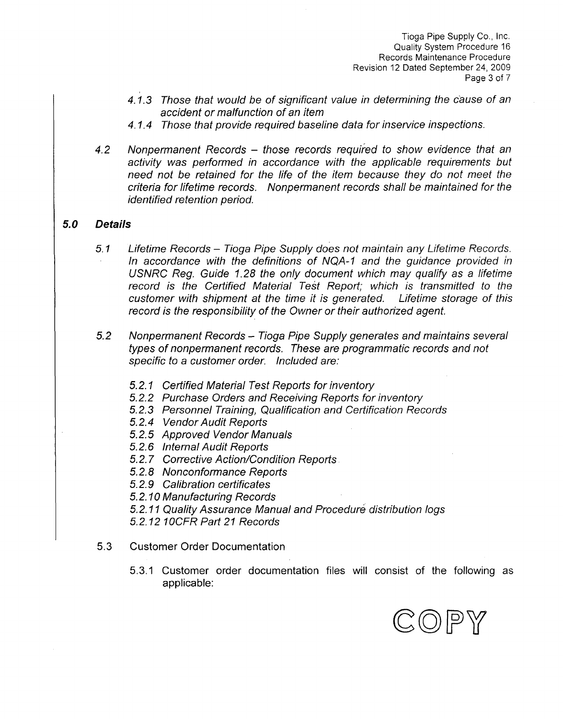Tioga Pipe Supply Co., Inc. Quality System Procedure 16 Records Maintenance Procedure Revision 12 Dated September 24, 2009 Page 3 of 7

- 4.1.3 Those that would be of significant value in determining the cause of an *accident or malfunction of an item*
- *4.1.4 Those that provide required baseline data for inservice inspections.*
- *4.2 Nonpermanent Records those records required to show evidence that an activity was performed in accordance with the applicable requirements but need not be retained for the life of the item because they do not meet the criteria for lifetime records. Nonpermanent records shall be maintained for the identified retention period.*

# *5.0 Details*

- *5.1 Lifetime Records Tioga Pipe Supply does not maintain any Lifetime Records. In accordance with the definitions of NQA-1 and the guidance provided in USNRC Reg. Guide 1.28 the only document which may qualify as a* lifetime *record is the Certified Material Test Report; which is transmitted to the customer with shipment at the time it is generated. Lifetime storage of this record is the responsibility of the Owner or their authorized agent.*
- *5.2 Nonpermanent Records Tioga Pipe Supply generates and maintains several types of nonpermanent records. These are programmatic records and not specific to a customer order. Included are:*
	- *5.2.1 Certified Material Test Reports for inventory*
	- *5.2.2 Purchase Orders and Receiving Reports for inventory*
	- *5.2.3 Personnel Training, Qualification and Certification Records*
	- *5.2.4 Vendor Audit Reports*
	- *5.2.5 Approved Vendor Manuals*
	- *5.2.6 Internal Audit Reports*
	- *5.2.7 Corrective Action/Condition Reports*
	- *5.2.8 Nonconformance Reports*
	- *5.2.9 Calibration certificates*

*5.2.10 Manufacturing Records*

*5.2.11 Quality Assurance Manual and Procedure distribution logs*

*5.2.12 IOCFR Part 21 Records*

- 5.3 Customer Order Documentation
	- 5.3.1 Customer order documentation files will consist of the following as applicable:

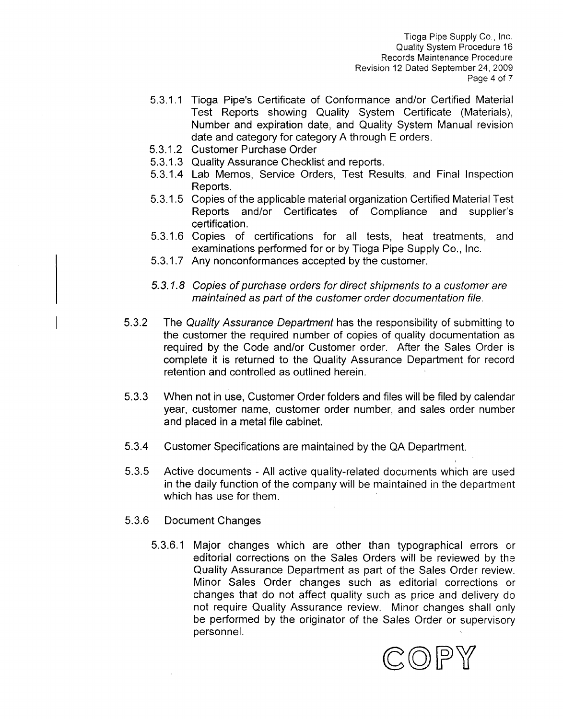Tioga Pipe Supply Co., Inc. Quality System Procedure **16** Records Maintenance Procedure Revision 12 Dated September 24, **2009** Page 4 of **7**

- **5.3.1.1** Tioga Pipe's Certificate of Conformance and/or Certified Material Test Reports showing Quality System Certificate (Materials), Number and expiration date, and Quality System Manual revision date and category for category **A** through **E** orders.
- **5.3.1.2** Customer Purchase Order
- **5.3.1.3** Quality Assurance Checklist and reports.
- 5.3.1.4 Lab Memos, Service Orders, Test Results, and Final Inspection Reports.
- **5.3.1.5** Copies of the applicable material organization Certified Material Test Reports and/or Certificates of Compliance and supplier's certification.
- **5.3.1.6** Copies of certifications for all tests, heat treatments, and examinations performed for or **by** Tioga Pipe Supply Co., Inc.
- **5.3.1.7** Any nonconformances accepted **by** the customer.
- *5.3.1.8 Copies of purchase orders for direct shipments to a customer are maintained as part of the customer order documentation file.*
- **5.3.2** The *Quality Assurance Department* has the responsibility of submitting to the customer the required number of copies of quality documentation as required **by** the Code and/or Customer order. After the Sales Order is complete it is returned to the Quality Assurance Department for record retention and controlled as outlined herein.
- **5.3.3** When not in use, Customer Order folders and files will be filed **by** calendar year, customer name, customer order number, and sales order number and placed in a metal file cabinet.
- 5.3.4 Customer Specifications are maintained **by** the **QA** Department.
- **5.3.5** Active documents **- All** active quality-related documents which are used in the daily function of the company will be maintained in the department which has use for them.
- **5.3.6** Document Changes
	- **5.3.6.1** Major changes which are other than typographical errors or editorial corrections on the Sales Orders will be reviewed **by** the Quality Assurance Department as part of the Sales Order review. Minor Sales Order changes such as editorial corrections or changes that do not affect quality such as price and delivery do not require Quality Assurance review. Minor changes shall only be performed **by** the originator of the Sales Order or supervisory personnel.

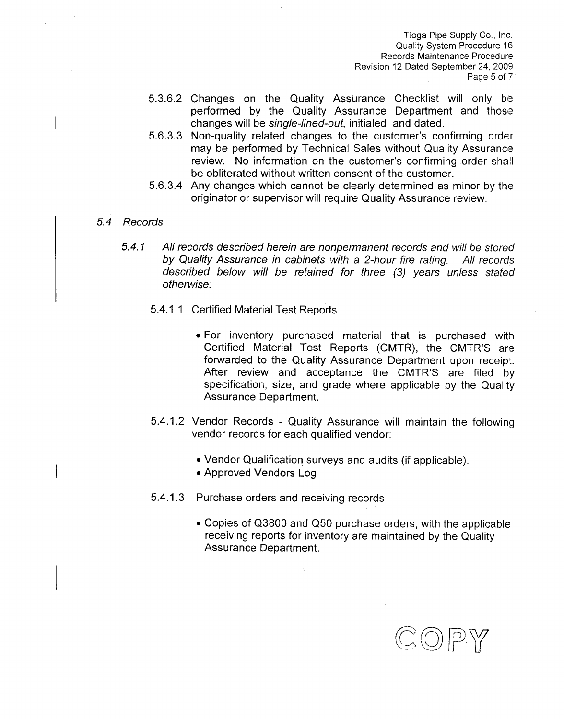Tioga Pipe Supply Co., Inc. Quality System Procedure 16 Records Maintenance Procedure Revision 12 Dated September 24, 2009 Page 5 of 7

- 5.3.6.2 Changes on the Quality Assurance Checklist will only be performed by the Quality Assurance Department and those changes will be *single-lined-out,* initialed, and dated.
- 5.6.3.3 Non-quality related changes to the customer's confirming order may be performed by Technical Sales without Quality Assurance review. No information on the customer's confirming order shall be obliterated without written consent of the customer.
- 5.6.3.4 Any changes which cannot be clearly determined as minor by the originator or supervisor will require Quality Assurance review.
- *5.4 Records*
	- *5.4.1 All records described herein are nonpermanent records and will be stored by Quality Assurance in cabinets with a 2-hour fire rating. All records described below will be retained for three (3) years unless stated otherwise:*
		- 5.4.1.1 Certified Material Test Reports
			- For inventory purchased material that is purchased with Certified Material Test Reports (CMTR), the CMTR'S are forwarded to the Quality Assurance Department upon receipt. After review and acceptance the CMTR'S are filed by specification, size, and grade where applicable by the Quality Assurance Department.
		- 5.4.1.2 Vendor Records Quality Assurance will maintain the following vendor records for each qualified vendor:
			-
			- Approved Vendors Log
		- 5.4.1.3 Purchase orders and receiving records
			- ° Copies of Q3800 and Q50 purchase orders, with the applicable receiving reports for inventory are maintained by the Quality Assurance Department.

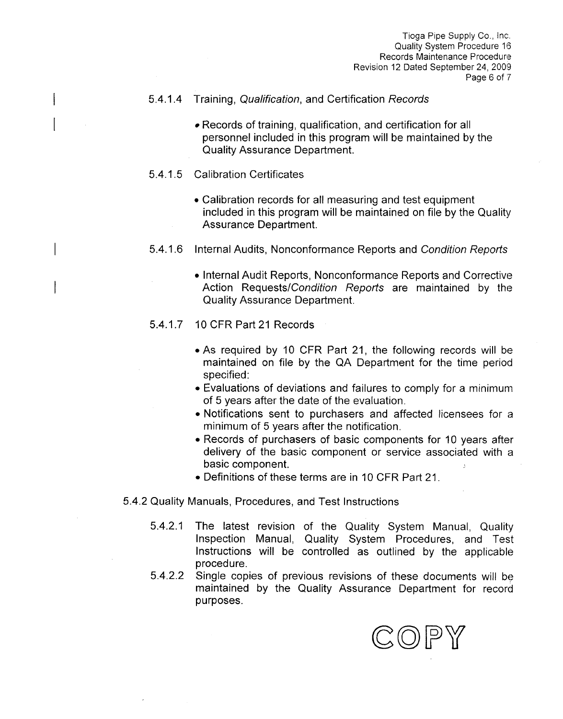Tioga Pipe Supply Co., Inc. Quality System Procedure **16** Records Maintenance Procedure Revision 12 Dated September 24, 2009 Page **6** of **7**

## 5.4.1.4 Training, *Qualification,* and Certification Records

- Records of training, qualification, and certification for all personnel included in this program will be maintained **by** the Quality Assurance Department.
- 5.4.1.5 Calibration Certificates
	- Calibration records for all measuring and test equipment included in this program will be maintained on file **by** the Quality Assurance Department.
- 5.4.1.6 Internal Audits, Nonconformance Reports and *Condition Reports*
	- Internal Audit Reports, Nonconformance Reports and Corrective Action Requests/Condition *Reports* are maintained **by** the Quality Assurance Department.
- 5.4.1.7 **10** CFR Part 21 Records
	- **\*As** required **by 10** CFR Part 21, the following records will be maintained on file **by** the **QA** Department for the time period specified:
	- **"** Evaluations of deviations and failures to comply for a minimum of **5** years after the date of the evaluation.
	- **"** Notifications sent to purchasers and affected licensees for a minimum of **5** years after the notification.
	- **"** Records of purchasers of basic components for **10** years after delivery of the basic component or service associated with a basic component.
	- " Definitions of these terms are in **10** CFR Part 2 **1.**
- 5.4.2 Quality Manuals, Procedures, and Test Instructions
	- 5.4.2.1 The latest revision of the Quality System Manual, Quality Inspection Manual, Quality System Procedures, and Test Instructions will be controlled as outlined **by** the applicable procedure.
	- 5.4.2.2 Single copies of previous revisions of these documents will be maintained **by** the Quality Assurance Department for record purposes.